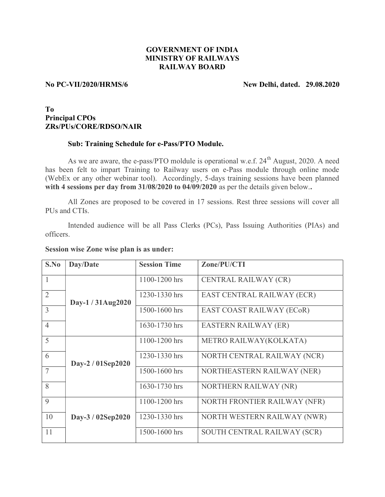# GOVERNMENT OF INDIA MINISTRY OF RAILWAYS RAILWAY BOARD

## No PC-VII/2020/HRMS/6 New Delhi, dated. 29.08.2020

## To Principal CPOs ZRs/PUs/CORE/RDSO/NAIR

#### Sub: Training Schedule for e-Pass/PTO Module.

As we are aware, the e-pass/PTO moldule is operational w.e.f.  $24<sup>th</sup>$  August, 2020. A need has been felt to impart Training to Railway users on e-Pass module through online mode (WebEx or any other webinar tool). Accordingly, 5-days training sessions have been planned with 4 sessions per day from 31/08/2020 to 04/09/2020 as per the details given below..

 All Zones are proposed to be covered in 17 sessions. Rest three sessions will cover all PUs and CTIs.

 Intended audience will be all Pass Clerks (PCs), Pass Issuing Authorities (PIAs) and officers.

### Session wise Zone wise plan is as under:

| S.No           | Day/Date          | <b>Session Time</b> | Zone/PU/CTI                  |
|----------------|-------------------|---------------------|------------------------------|
| 1              | Day-1 / 31Aug2020 | 1100-1200 hrs       | CENTRAL RAILWAY (CR)         |
| $\overline{2}$ |                   | 1230-1330 hrs       | EAST CENTRAL RAILWAY (ECR)   |
| $\overline{3}$ |                   | 1500-1600 hrs       | EAST COAST RAILWAY (ECoR)    |
| $\overline{4}$ |                   | 1630-1730 hrs       | <b>EASTERN RAILWAY (ER)</b>  |
| 5              |                   | 1100-1200 hrs       | METRO RAILWAY(KOLKATA)       |
| 6              | Day-2 / 01Sep2020 | 1230-1330 hrs       | NORTH CENTRAL RAILWAY (NCR)  |
| $\overline{7}$ |                   | 1500-1600 hrs       | NORTHEASTERN RAILWAY (NER)   |
| 8              |                   | 1630-1730 hrs       | NORTHERN RAILWAY (NR)        |
| 9              |                   | 1100-1200 hrs       | NORTH FRONTIER RAILWAY (NFR) |
| 10             | Day-3 / 02Sep2020 | 1230-1330 hrs       | NORTH WESTERN RAILWAY (NWR)  |
| 11             |                   | 1500-1600 hrs       | SOUTH CENTRAL RAILWAY (SCR)  |